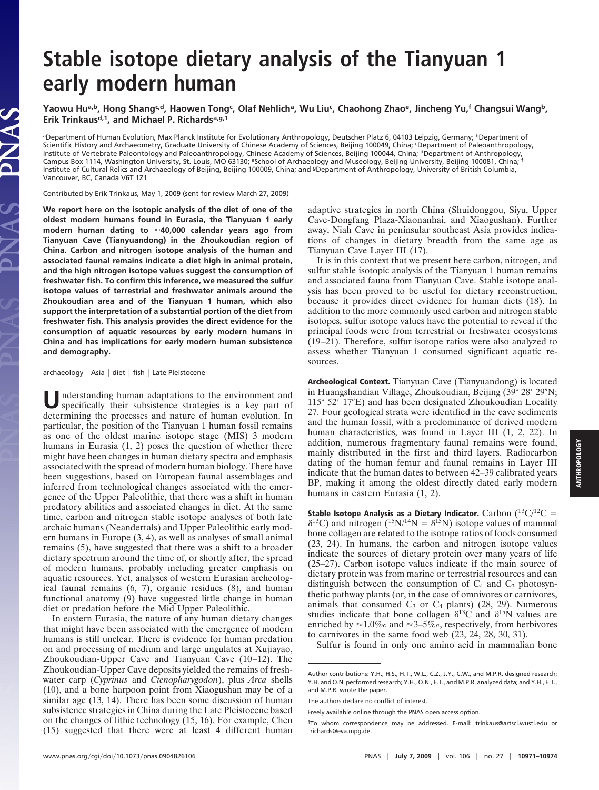## **Stable isotope dietary analysis of the Tianyuan 1 early modern human**

Yaowu Hu<sup>a,b</sup>, Hong Shang<sup>c.d</sup>, Haowen Tong<sup>c</sup>, Olaf Nehlich<sup>a</sup>, Wu Liu<sup>c</sup>, Chaohong Zhao<sup>e</sup>, Jincheng Yu,<sup>f</sup> Changsui Wang<sup>b</sup>, Erik Trinkaus<sup>d,1</sup>, and Michael P. Richards<sup>a, g, 1</sup>

aDepartment of Human Evolution, Max Planck Institute for Evolutionary Anthropology, Deutscher Platz 6, 04103 Leipzig, Germany; <sup>b</sup>Department of Scientific History and Archaeometry, Graduate University of Chinese Academy of Sciences, Beijing 100049, China; <sup>c</sup> Department of Paleoanthropology, Institute of Vertebrate Paleontology and Paleoanthropology, Chinese Academy of Sciences, Beijing 100044, China; <sup>d</sup>Department of Anthropology, Campus Box 1114, Washington University, St. Louis, MO 63130; eSchool of Archaeology and Museology, Beijing University, Beijing 100081, China; <sup>f</sup> Institute of Cultural Relics and Archaeology of Beijing, Beijing 100009, China; and gDepartment of Anthropology, University of British Columbia, Vancouver, BC, Canada V6T 1Z1

Contributed by Erik Trinkaus, May 1, 2009 (sent for review March 27, 2009)

**We report here on the isotopic analysis of the diet of one of the oldest modern humans found in Eurasia, the Tianyuan 1 early modern human dating to 40,000 calendar years ago from Tianyuan Cave (Tianyuandong) in the Zhoukoudian region of China. Carbon and nitrogen isotope analysis of the human and associated faunal remains indicate a diet high in animal protein, and the high nitrogen isotope values suggest the consumption of freshwater fish. To confirm this inference, we measured the sulfur isotope values of terrestrial and freshwater animals around the Zhoukoudian area and of the Tianyuan 1 human, which also support the interpretation of a substantial portion of the diet from freshwater fish. This analysis provides the direct evidence for the consumption of aquatic resources by early modern humans in China and has implications for early modern human subsistence and demography.**

archaeology | Asia | diet | fish | Late Pleistocene

JAS

**U**nderstanding human adaptations to the environment and specifically their subsistence strategies is a key part of determining the processes and nature of human evolution. In particular, the position of the Tianyuan 1 human fossil remains as one of the oldest marine isotope stage (MIS) 3 modern humans in Eurasia (1, 2) poses the question of whether there might have been changes in human dietary spectra and emphasis associated with the spread of modern human biology. There have been suggestions, based on European faunal assemblages and inferred from technological changes associated with the emergence of the Upper Paleolithic, that there was a shift in human predatory abilities and associated changes in diet. At the same time, carbon and nitrogen stable isotope analyses of both late archaic humans (Neandertals) and Upper Paleolithic early modern humans in Europe (3, 4), as well as analyses of small animal remains (5), have suggested that there was a shift to a broader dietary spectrum around the time of, or shortly after, the spread of modern humans, probably including greater emphasis on aquatic resources. Yet, analyses of western Eurasian archeological faunal remains (6, 7), organic residues (8), and human functional anatomy (9) have suggested little change in human diet or predation before the Mid Upper Paleolithic.

In eastern Eurasia, the nature of any human dietary changes that might have been associated with the emergence of modern humans is still unclear. There is evidence for human predation on and processing of medium and large ungulates at Xujiayao, Zhoukoudian-Upper Cave and Tianyuan Cave (10–12). The Zhoukoudian-Upper Cave deposits yielded the remains of freshwater carp (*Cyprinus* and *Ctenopharygodon*), plus *Arca* shells (10), and a bone harpoon point from Xiaogushan may be of a similar age  $(13, 14)$ . There has been some discussion of human subsistence strategies in China during the Late Pleistocene based on the changes of lithic technology (15, 16). For example, Chen (15) suggested that there were at least 4 different human adaptive strategies in north China (Shuidonggou, Siyu, Upper Cave-Dongfang Plaza-Xiaonanhai, and Xiaogushan). Further away, Niah Cave in peninsular southeast Asia provides indications of changes in dietary breadth from the same age as Tianyuan Cave Layer III (17).

It is in this context that we present here carbon, nitrogen, and sulfur stable isotopic analysis of the Tianyuan 1 human remains and associated fauna from Tianyuan Cave. Stable isotope analysis has been proved to be useful for dietary reconstruction, because it provides direct evidence for human diets (18). In addition to the more commonly used carbon and nitrogen stable isotopes, sulfur isotope values have the potential to reveal if the principal foods were from terrestrial or freshwater ecosystems (19–21). Therefore, sulfur isotope ratios were also analyzed to assess whether Tianyuan 1 consumed significant aquatic resources.

**Archeological Context.** Tianyuan Cave (Tianyuandong) is located in Huangshandian Village, Zhoukoudian, Beijing (39° 28′ 29"N; 115° 52′ 17″E) and has been designated Zhoukoudian Locality 27. Four geological strata were identified in the cave sediments and the human fossil, with a predominance of derived modern human characteristics, was found in Layer III (1, 2, 22). In addition, numerous fragmentary faunal remains were found, mainly distributed in the first and third layers. Radiocarbon dating of the human femur and faunal remains in Layer III indicate that the human dates to between 42–39 calibrated years BP, making it among the oldest directly dated early modern humans in eastern Eurasia (1, 2).

**Stable Isotope Analysis as a Dietary Indicator.** Carbon  $(^{13}C)^{12}C =$  $\delta^{13}$ C) and nitrogen (<sup>15</sup>N/<sup>14</sup>N =  $\delta^{15}$ N) isotope values of mammal bone collagen are related to the isotope ratios of foods consumed (23, 24). In humans, the carbon and nitrogen isotope values indicate the sources of dietary protein over many years of life (25–27). Carbon isotope values indicate if the main source of dietary protein was from marine or terrestrial resources and can distinguish between the consumption of  $C_4$  and  $C_3$  photosynthetic pathway plants (or, in the case of omnivores or carnivores, animals that consumed  $C_3$  or  $C_4$  plants) (28, 29). Numerous studies indicate that bone collagen  $\delta^{13}$ C and  $\delta^{15}$ N values are enriched by  $\approx 1.0\%$  and  $\approx 3-5\%$ , respectively, from herbivores to carnivores in the same food web (23, 24, 28, 30, 31).

Sulfur is found in only one amino acid in mammalian bone

Author contributions: Y.H., H.S., H.T., W.L., C.Z., J.Y., C.W., and M.P.R. designed research; Y.H. and O.N. performed research; Y.H., O.N., E.T., and M.P.R. analyzed data; and Y.H., E.T., and M.P.R. wrote the paper.

The authors declare no conflict of interest.

Freely available online through the PNAS open access option.

<sup>1</sup>To whom correspondence may be addressed. E-mail: trinkaus@artsci.wustl.edu or richards@eva.mpg.de.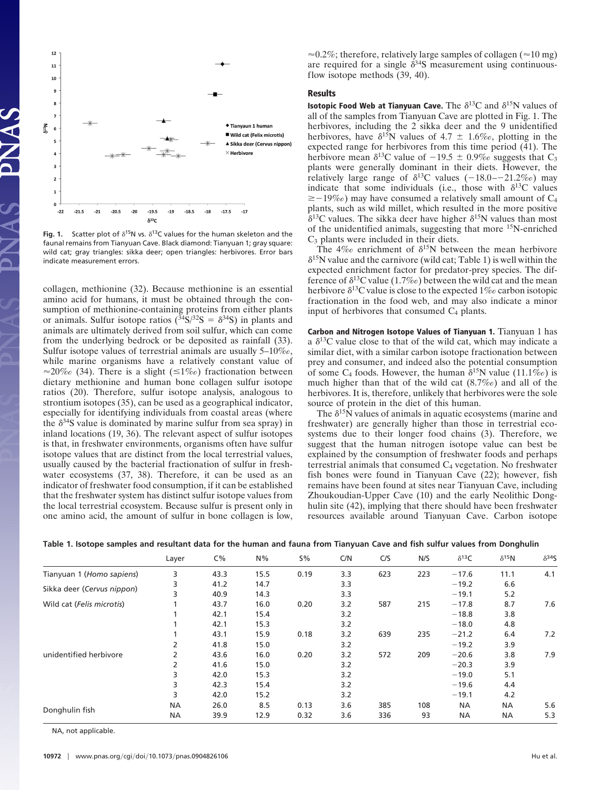

**Fig. 1.** Scatter plot of  $\delta^{15}N$  vs.  $\delta^{13}C$  values for the human skeleton and the faunal remains from Tianyuan Cave. Black diamond: Tianyuan 1; gray square: wild cat; gray triangles: sikka deer; open triangles: herbivores. Error bars indicate measurement errors.

collagen, methionine (32). Because methionine is an essential amino acid for humans, it must be obtained through the consumption of methionine-containing proteins from either plants or animals. Sulfur isotope ratios ( $\frac{34}{5}/^{32}S = \delta^{34}S$ ) in plants and animals are ultimately derived from soil sulfur, which can come from the underlying bedrock or be deposited as rainfall (33). Sulfur isotope values of terrestrial animals are usually 5–10‰, while marine organisms have a relatively constant value of  $\approx$ 20‰ (34). There is a slight ( $\leq$ 1‰) fractionation between dietary methionine and human bone collagen sulfur isotope ratios (20). Therefore, sulfur isotope analysis, analogous to strontium isotopes (35), can be used as a geographical indicator, especially for identifying individuals from coastal areas (where the  $\delta^{34}$ S value is dominated by marine sulfur from sea spray) in inland locations (19, 36). The relevant aspect of sulfur isotopes is that, in freshwater environments, organisms often have sulfur isotope values that are distinct from the local terrestrial values, usually caused by the bacterial fractionation of sulfur in freshwater ecosystems (37, 38). Therefore, it can be used as an indicator of freshwater food consumption, if it can be established that the freshwater system has distinct sulfur isotope values from the local terrestrial ecosystem. Because sulfur is present only in one amino acid, the amount of sulfur in bone collagen is low,  $\approx 0.2\%$ ; therefore, relatively large samples of collagen ( $\approx 10$  mg) are required for a single  $\delta^{34}S$  measurement using continuousflow isotope methods (39, 40).

## **Results**

**Isotopic Food Web at Tianyuan Cave.** The  $\delta^{13}C$  and  $\delta^{15}N$  values of all of the samples from Tianyuan Cave are plotted in Fig. 1. The herbivores, including the 2 sikka deer and the 9 unidentified herbivores, have  $\delta^{15}N$  values of 4.7  $\pm$  1.6‰, plotting in the expected range for herbivores from this time period (41). The herbivore mean  $\delta^{13}$ C value of  $-19.5 \pm 0.9\%$  suggests that C<sub>3</sub> plants were generally dominant in their diets. However, the relatively large range of  $\delta^{13}$ C values (-18.0–-21.2‰) may indicate that some individuals (i.e., those with  $\delta^{13}$ C values  $\geq$  -19‰) may have consumed a relatively small amount of C<sub>4</sub> plants, such as wild millet, which resulted in the more positive  $\delta^{13}$ C values. The sikka deer have higher  $\delta^{15}$ N values than most of the unidentified animals, suggesting that more 15N-enriched  $C_3$  plants were included in their diets.

The 4‰ enrichment of  $\delta^{15}N$  between the mean herbivore  $\delta^{15}$ N value and the carnivore (wild cat; Table 1) is well within the expected enrichment factor for predator-prey species. The difference of  $\delta^{13}$ C value (1.7‰) between the wild cat and the mean herbivore  $\delta^{13}$ C value is close to the expected 1‰ carbon isotopic fractionation in the food web, and may also indicate a minor input of herbivores that consumed  $C_4$  plants.

**Carbon and Nitrogen Isotope Values of Tianyuan 1.** Tianyuan 1 has a  $\delta^{13}$ C value close to that of the wild cat, which may indicate a similar diet, with a similar carbon isotope fractionation between prey and consumer, and indeed also the potential consumption of some C<sub>4</sub> foods. However, the human  $\delta^{15}N$  value (11.1‰) is much higher than that of the wild cat (8.7‰) and all of the herbivores. It is, therefore, unlikely that herbivores were the sole source of protein in the diet of this human.

The  $\delta^{15}N$  values of animals in aquatic ecosystems (marine and freshwater) are generally higher than those in terrestrial ecosystems due to their longer food chains (3). Therefore, we suggest that the human nitrogen isotope value can best be explained by the consumption of freshwater foods and perhaps terrestrial animals that consumed  $C_4$  vegetation. No freshwater fish bones were found in Tianyuan Cave (22); however, fish remains have been found at sites near Tianyuan Cave, including Zhoukoudian-Upper Cave (10) and the early Neolithic Donghulin site (42), implying that there should have been freshwater resources available around Tianyuan Cave. Carbon isotope

|                            | Layer     | $C\%$ | $N\%$ | 5%   | C/N | C/S | N/S | $\delta^{13}C$ | $\delta^{15}$ N | $\delta^{34}$ |
|----------------------------|-----------|-------|-------|------|-----|-----|-----|----------------|-----------------|---------------|
| Tianyuan 1 (Homo sapiens)  | 3         | 43.3  | 15.5  | 0.19 | 3.3 | 623 | 223 | $-17.6$        | 11.1            | 4.1           |
| Sikka deer (Cervus nippon) | 3         | 41.2  | 14.7  |      | 3.3 |     |     | $-19.2$        | 6.6             |               |
|                            |           | 40.9  | 14.3  |      | 3.3 |     |     | $-19.1$        | 5.2             |               |
| Wild cat (Felis microtis)  |           | 43.7  | 16.0  | 0.20 | 3.2 | 587 | 215 | $-17.8$        | 8.7             | 7.6           |
| unidentified herbivore     |           | 42.1  | 15.4  |      | 3.2 |     |     | $-18.8$        | 3.8             |               |
|                            |           | 42.1  | 15.3  |      | 3.2 |     |     | $-18.0$        | 4.8             |               |
|                            |           | 43.1  | 15.9  | 0.18 | 3.2 | 639 | 235 | $-21.2$        | 6.4             | 7.2           |
|                            |           | 41.8  | 15.0  |      | 3.2 |     |     | $-19.2$        | 3.9             |               |
|                            |           | 43.6  | 16.0  | 0.20 | 3.2 | 572 | 209 | $-20.6$        | 3.8             | 7.9           |
|                            |           | 41.6  | 15.0  |      | 3.2 |     |     | $-20.3$        | 3.9             |               |
|                            | 3         | 42.0  | 15.3  |      | 3.2 |     |     | $-19.0$        | 5.1             |               |
|                            | 3         | 42.3  | 15.4  |      | 3.2 |     |     | $-19.6$        | 4.4             |               |
|                            | 3         | 42.0  | 15.2  |      | 3.2 |     |     | $-19.1$        | 4.2             |               |
| Donghulin fish             | <b>NA</b> | 26.0  | 8.5   | 0.13 | 3.6 | 385 | 108 | <b>NA</b>      | <b>NA</b>       | 5.6           |
|                            | NА        | 39.9  | 12.9  | 0.32 | 3.6 | 336 | 93  | <b>NA</b>      | NА              | 5.3           |

**Table 1. Isotope samples and resultant data for the human and fauna from Tianyuan Cave and fish sulfur values from Donghulin**

NA, not applicable.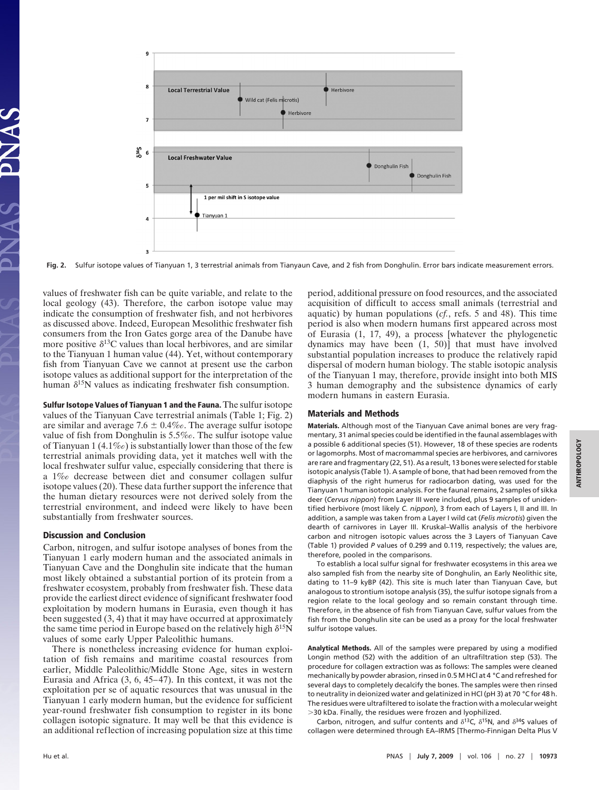

**Fig. 2.** Sulfur isotope values of Tianyuan 1, 3 terrestrial animals from Tianyaun Cave, and 2 fish from Donghulin. Error bars indicate measurement errors.

values of freshwater fish can be quite variable, and relate to the local geology (43). Therefore, the carbon isotope value may indicate the consumption of freshwater fish, and not herbivores as discussed above. Indeed, European Mesolithic freshwater fish consumers from the Iron Gates gorge area of the Danube have more positive  $\delta^{13}$ C values than local herbivores, and are similar to the Tianyuan 1 human value (44). Yet, without contemporary fish from Tianyuan Cave we cannot at present use the carbon isotope values as additional support for the interpretation of the human  $\delta^{15}N$  values as indicating freshwater fish consumption.

**Sulfur Isotope Values of Tianyuan 1 and the Fauna.** The sulfur isotope values of the Tianyuan Cave terrestrial animals (Table 1; Fig. 2) are similar and average 7.6  $\pm$  0.4‰. The average sulfur isotope value of fish from Donghulin is 5.5‰. The sulfur isotope value of Tianyuan 1 (4.1‰) is substantially lower than those of the few terrestrial animals providing data, yet it matches well with the local freshwater sulfur value, especially considering that there is a 1‰ decrease between diet and consumer collagen sulfur isotope values (20). These data further support the inference that the human dietary resources were not derived solely from the terrestrial environment, and indeed were likely to have been substantially from freshwater sources.

## **Discussion and Conclusion**

Carbon, nitrogen, and sulfur isotope analyses of bones from the Tianyuan 1 early modern human and the associated animals in Tianyuan Cave and the Donghulin site indicate that the human most likely obtained a substantial portion of its protein from a freshwater ecosystem, probably from freshwater fish. These data provide the earliest direct evidence of significant freshwater food exploitation by modern humans in Eurasia, even though it has been suggested (3, 4) that it may have occurred at approximately the same time period in Europe based on the relatively high  $\delta^{15}N$ values of some early Upper Paleolithic humans.

There is nonetheless increasing evidence for human exploitation of fish remains and maritime coastal resources from earlier, Middle Paleolithic/Middle Stone Age, sites in western Eurasia and Africa (3, 6, 45–47). In this context, it was not the exploitation per se of aquatic resources that was unusual in the Tianyuan 1 early modern human, but the evidence for sufficient year-round freshwater fish consumption to register in its bone collagen isotopic signature. It may well be that this evidence is an additional reflection of increasing population size at this time

period, additional pressure on food resources, and the associated acquisition of difficult to access small animals (terrestrial and aquatic) by human populations (*cf.*, refs. 5 and 48). This time period is also when modern humans first appeared across most of Eurasia (1, 17, 49), a process [whatever the phylogenetic dynamics may have been (1, 50)] that must have involved substantial population increases to produce the relatively rapid dispersal of modern human biology. The stable isotopic analysis of the Tianyuan 1 may, therefore, provide insight into both MIS 3 human demography and the subsistence dynamics of early modern humans in eastern Eurasia.

## **Materials and Methods**

**Materials.** Although most of the Tianyuan Cave animal bones are very fragmentary, 31 animal species could be identified in the faunal assemblages with a possible 6 additional species (51). However, 18 of these species are rodents or lagomorphs. Most of macromammal species are herbivores, and carnivores are rare and fragmentary (22, 51). As a result, 13 bones were selected for stable isotopic analysis (Table 1). A sample of bone, that had been removed from the diaphysis of the right humerus for radiocarbon dating, was used for the Tianyuan 1 human isotopic analysis. For the faunal remains, 2 samples of sikka deer (*Cervus nippon*) from Layer III were included, plus 9 samples of unidentified herbivore (most likely *C. nippon*), 3 from each of Layers I, II and III. In addition, a sample was taken from a Layer I wild cat (*Felis microtis*) given the dearth of carnivores in Layer III. Kruskal–Wallis analysis of the herbivore carbon and nitrogen isotopic values across the 3 Layers of Tianyuan Cave (Table 1) provided *P* values of 0.299 and 0.119, respectively; the values are, therefore, pooled in the comparisons.

To establish a local sulfur signal for freshwater ecosystems in this area we also sampled fish from the nearby site of Donghulin, an Early Neolithic site, dating to 11–9 kyBP (42). This site is much later than Tianyuan Cave, but analogous to strontium isotope analysis (35), the sulfur isotope signals from a region relate to the local geology and so remain constant through time. Therefore, in the absence of fish from Tianyuan Cave, sulfur values from the fish from the Donghulin site can be used as a proxy for the local freshwater sulfur isotope values.

**Analytical Methods.** All of the samples were prepared by using a modified Longin method (52) with the addition of an ultrafiltration step (53). The procedure for collagen extraction was as follows: The samples were cleaned mechanically by powder abrasion, rinsed in 0.5 M HCl at 4 °C and refreshed for several days to completely decalcify the bones. The samples were then rinsed to neutrality in deionized water and gelatinized in HCl (pH 3) at 70 °C for 48 h. The residues were ultrafiltered to isolate the fraction with a molecular weight 30 kDa. Finally, the residues were frozen and lyophilized.

Carbon, nitrogen, and sulfur contents and  $\delta^{13}$ C,  $\delta^{15}$ N, and  $\delta^{34}$ S values of collagen were determined through EA–IRMS [Thermo-Finnigan Delta Plus V